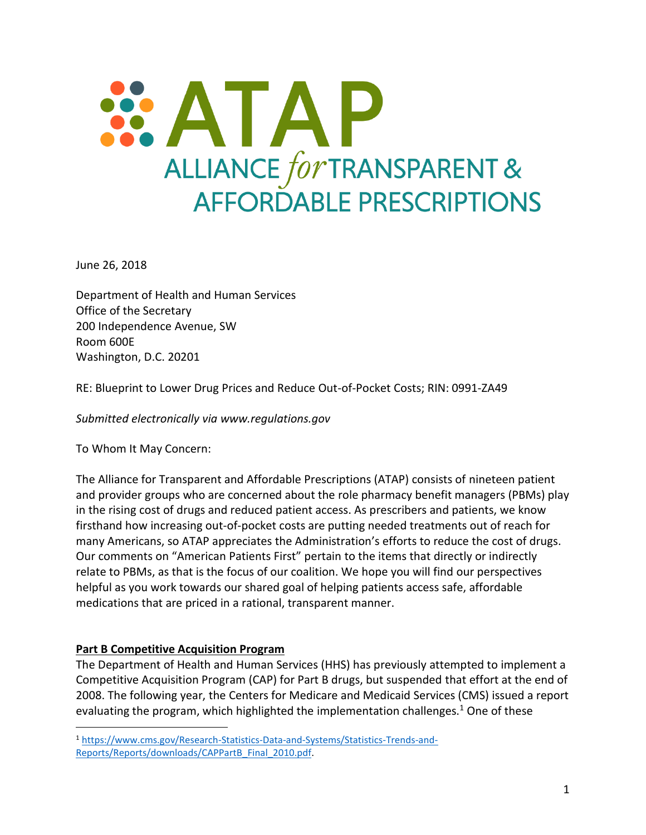

June 26, 2018

Department of Health and Human Services Office of the Secretary 200 Independence Avenue, SW Room 600E Washington, D.C. 20201

RE: Blueprint to Lower Drug Prices and Reduce Out-of-Pocket Costs; RIN: 0991-ZA49

*Submitted electronically via www.regulations.gov*

To Whom It May Concern:

The Alliance for Transparent and Affordable Prescriptions (ATAP) consists of nineteen patient and provider groups who are concerned about the role pharmacy benefit managers (PBMs) play in the rising cost of drugs and reduced patient access. As prescribers and patients, we know firsthand how increasing out-of-pocket costs are putting needed treatments out of reach for many Americans, so ATAP appreciates the Administration's efforts to reduce the cost of drugs. Our comments on "American Patients First" pertain to the items that directly or indirectly relate to PBMs, as that is the focus of our coalition. We hope you will find our perspectives helpful as you work towards our shared goal of helping patients access safe, affordable medications that are priced in a rational, transparent manner.

# **Part B Competitive Acquisition Program**

 $\overline{a}$ 

The Department of Health and Human Services (HHS) has previously attempted to implement a Competitive Acquisition Program (CAP) for Part B drugs, but suspended that effort at the end of 2008. The following year, the Centers for Medicare and Medicaid Services (CMS) issued a report evaluating the program, which highlighted the implementation challenges. $1$  One of these

<sup>1</sup> [https://www.cms.gov/Research-Statistics-Data-and-Systems/Statistics-Trends-and-](https://www.cms.gov/Research-Statistics-Data-and-Systems/Statistics-Trends-and-Reports/Reports/downloads/CAPPartB_Final_2010.pdf)[Reports/Reports/downloads/CAPPartB\\_Final\\_2010.pdf.](https://www.cms.gov/Research-Statistics-Data-and-Systems/Statistics-Trends-and-Reports/Reports/downloads/CAPPartB_Final_2010.pdf)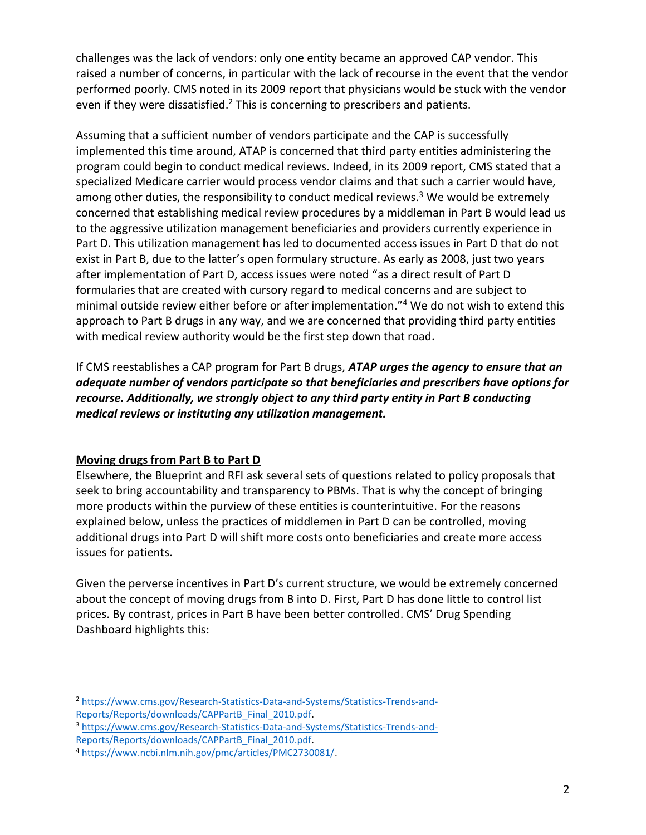challenges was the lack of vendors: only one entity became an approved CAP vendor. This raised a number of concerns, in particular with the lack of recourse in the event that the vendor performed poorly. CMS noted in its 2009 report that physicians would be stuck with the vendor even if they were dissatisfied.<sup>2</sup> This is concerning to prescribers and patients.

Assuming that a sufficient number of vendors participate and the CAP is successfully implemented this time around, ATAP is concerned that third party entities administering the program could begin to conduct medical reviews. Indeed, in its 2009 report, CMS stated that a specialized Medicare carrier would process vendor claims and that such a carrier would have, among other duties, the responsibility to conduct medical reviews.<sup>3</sup> We would be extremely concerned that establishing medical review procedures by a middleman in Part B would lead us to the aggressive utilization management beneficiaries and providers currently experience in Part D. This utilization management has led to documented access issues in Part D that do not exist in Part B, due to the latter's open formulary structure. As early as 2008, just two years after implementation of Part D, access issues were noted "as a direct result of Part D formularies that are created with cursory regard to medical concerns and are subject to minimal outside review either before or after implementation."<sup>4</sup> We do not wish to extend this approach to Part B drugs in any way, and we are concerned that providing third party entities with medical review authority would be the first step down that road.

If CMS reestablishes a CAP program for Part B drugs, *ATAP urges the agency to ensure that an adequate number of vendors participate so that beneficiaries and prescribers have options for recourse. Additionally, we strongly object to any third party entity in Part B conducting medical reviews or instituting any utilization management.* 

# **Moving drugs from Part B to Part D**

Elsewhere, the Blueprint and RFI ask several sets of questions related to policy proposals that seek to bring accountability and transparency to PBMs. That is why the concept of bringing more products within the purview of these entities is counterintuitive. For the reasons explained below, unless the practices of middlemen in Part D can be controlled, moving additional drugs into Part D will shift more costs onto beneficiaries and create more access issues for patients.

Given the perverse incentives in Part D's current structure, we would be extremely concerned about the concept of moving drugs from B into D. First, Part D has done little to control list prices. By contrast, prices in Part B have been better controlled. CMS' Drug Spending Dashboard highlights this:

 $\overline{a}$ <sup>2</sup> [https://www.cms.gov/Research-Statistics-Data-and-Systems/Statistics-Trends-and-](https://www.cms.gov/Research-Statistics-Data-and-Systems/Statistics-Trends-and-Reports/Reports/downloads/CAPPartB_Final_2010.pdf)[Reports/Reports/downloads/CAPPartB\\_Final\\_2010.pdf.](https://www.cms.gov/Research-Statistics-Data-and-Systems/Statistics-Trends-and-Reports/Reports/downloads/CAPPartB_Final_2010.pdf) 

<sup>3</sup> [https://www.cms.gov/Research-Statistics-Data-and-Systems/Statistics-Trends-and-](https://www.cms.gov/Research-Statistics-Data-and-Systems/Statistics-Trends-and-Reports/Reports/downloads/CAPPartB_Final_2010.pdf)[Reports/Reports/downloads/CAPPartB\\_Final\\_2010.pdf.](https://www.cms.gov/Research-Statistics-Data-and-Systems/Statistics-Trends-and-Reports/Reports/downloads/CAPPartB_Final_2010.pdf) 

<sup>4</sup> [https://www.ncbi.nlm.nih.gov/pmc/articles/PMC2730081/.](https://www.ncbi.nlm.nih.gov/pmc/articles/PMC2730081/)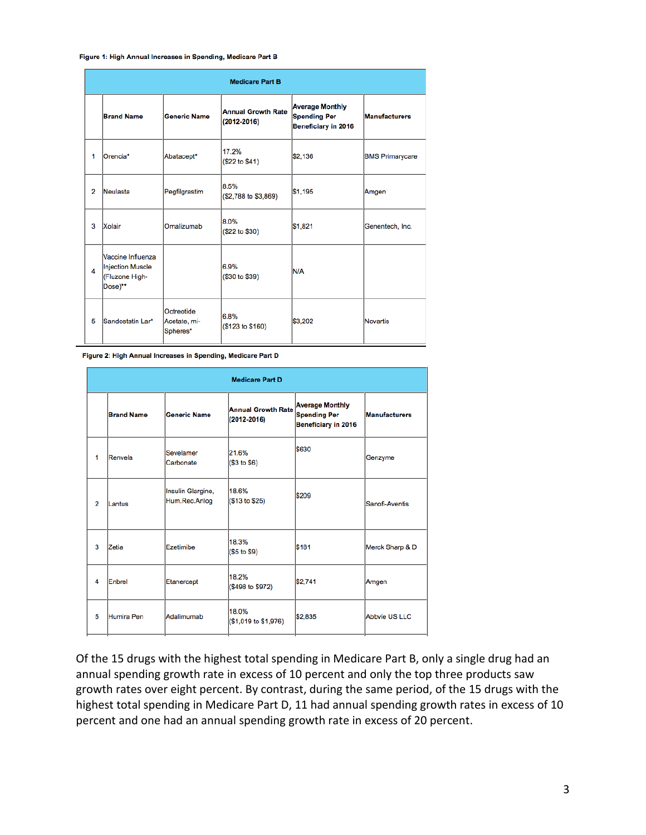Figure 1: High Annual Increases in Spending, Medicare Part B

| <b>Medicare Part B</b> |                                                                    |                                        |                                              |                                                                      |                        |  |  |  |  |
|------------------------|--------------------------------------------------------------------|----------------------------------------|----------------------------------------------|----------------------------------------------------------------------|------------------------|--|--|--|--|
|                        | <b>Brand Name</b>                                                  | <b>Generic Name</b>                    | <b>Annual Growth Rate</b><br>$(2012 - 2016)$ | <b>Average Monthly</b><br><b>Spending Per</b><br>Beneficiary in 2016 | <b>Manufacturers</b>   |  |  |  |  |
| 1                      | Orencia*                                                           | Abatacept*                             | 17.2%<br>(\$22 to \$41)                      | \$2,136                                                              | <b>BMS Primarycare</b> |  |  |  |  |
| 2                      | Neulasta                                                           | Pegfilgrastim                          | 8.5%<br>(\$2,788 to \$3,869)                 | \$1,195                                                              | Amgen                  |  |  |  |  |
| 3                      | Xolair                                                             | Omalizumab                             | 8.0%<br>(\$22 to \$30)                       | \$1,821                                                              | Genentech, Inc.        |  |  |  |  |
| 4                      | Vaccine Influenza<br>Injection Muscle<br>(Fluzone High-<br>Dose)** |                                        | 6.9%<br>(\$30 to \$39)                       | N/A                                                                  |                        |  |  |  |  |
| 5                      | Sandostatin Lar*                                                   | Octreotide<br>Acetate, mi-<br>Spheres* | 6.8%<br>(\$123 to \$160)                     | \$3,202                                                              | <b>Novartis</b>        |  |  |  |  |

Figure 2: High Annual Increases in Spending, Medicare Part D

| <b>Medicare Part D</b> |                   |                                    |                                              |                                                                             |                      |  |  |  |  |
|------------------------|-------------------|------------------------------------|----------------------------------------------|-----------------------------------------------------------------------------|----------------------|--|--|--|--|
|                        | <b>Brand Name</b> | <b>Generic Name</b>                | <b>Annual Growth Rate</b><br>$(2012 - 2016)$ | <b>Average Monthly</b><br><b>Spending Per</b><br><b>Beneficiary in 2016</b> | <b>Manufacturers</b> |  |  |  |  |
| 1                      | Renvela           | Sevelamer<br>Carbonate             | 21.6%<br>(\$3 to \$6)                        | \$630                                                                       | Genzyme              |  |  |  |  |
| $\overline{2}$         | Lantus            | Insulin Glargine,<br>Hum.Rec.Anlog | 18.6%<br>(\$13 to \$25)                      | <b>\$209</b>                                                                | Sanofi-Aventis       |  |  |  |  |
| 3                      | Zetia             | Ezetimibe                          | 18.3%<br>(\$5 to \$9)                        | <b>S181</b>                                                                 | Merck Sharp & D      |  |  |  |  |
| 4                      | Enbrel            | Etanercept                         | 18.2%<br>(\$498 to \$972)                    | \$2,741                                                                     | Amgen                |  |  |  |  |
| 5                      | Humira Pen        | Adalimumab                         | 18.0%<br>(\$1,019 to \$1,976)                | \$2,835                                                                     | Abbyie US LLC        |  |  |  |  |

Of the 15 drugs with the highest total spending in Medicare Part B, only a single drug had an annual spending growth rate in excess of 10 percent and only the top three products saw growth rates over eight percent. By contrast, during the same period, of the 15 drugs with the highest total spending in Medicare Part D, 11 had annual spending growth rates in excess of 10 percent and one had an annual spending growth rate in excess of 20 percent.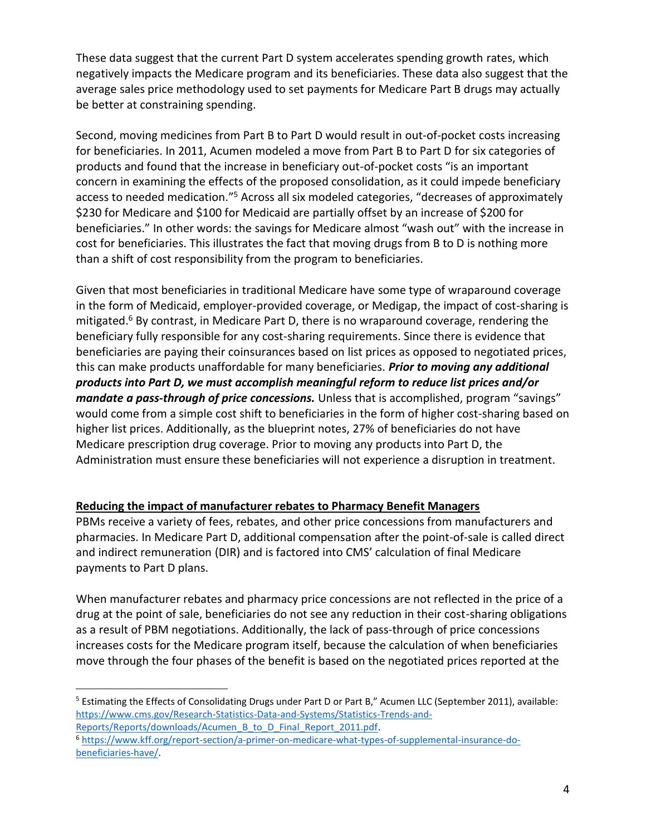These data suggest that the current Part D system accelerates spending growth rates, which negatively impacts the Medicare program and its beneficiaries. These data also suggest that the average sales price methodology used to set payments for Medicare Part B drugs may actually be better at constraining spending.

Second, moving medicines from Part B to Part D would result in out-of-pocket costs increasing for beneficiaries. In 2011, Acumen modeled a move from Part B to Part D for six categories of products and found that the increase in beneficiary out-of-pocket costs "is an important concern in examining the effects of the proposed consolidation, as it could impede beneficiary access to needed medication."<sup>5</sup> Across all six modeled categories, "decreases of approximately \$230 for Medicare and \$100 for Medicaid are partially offset by an increase of \$200 for beneficiaries." In other words: the savings for Medicare almost "wash out" with the increase in cost for beneficiaries. This illustrates the fact that moving drugs from B to D is nothing more than a shift of cost responsibility from the program to beneficiaries.

Given that most beneficiaries in traditional Medicare have some type of wraparound coverage in the form of Medicaid, employer-provided coverage, or Medigap, the impact of cost-sharing is mitigated. <sup>6</sup> By contrast, in Medicare Part D, there is no wraparound coverage, rendering the beneficiary fully responsible for any cost-sharing requirements. Since there is evidence that beneficiaries are paying their coinsurances based on list prices as opposed to negotiated prices, this can make products unaffordable for many beneficiaries. *Prior to moving any additional products into Part D, we must accomplish meaningful reform to reduce list prices and/or mandate a pass-through of price concessions.* Unless that is accomplished, program "savings" would come from a simple cost shift to beneficiaries in the form of higher cost-sharing based on higher list prices. Additionally, as the blueprint notes, 27% of beneficiaries do not have Medicare prescription drug coverage. Prior to moving any products into Part D, the Administration must ensure these beneficiaries will not experience a disruption in treatment.

# **Reducing the impact of manufacturer rebates to Pharmacy Benefit Managers**

PBMs receive a variety of fees, rebates, and other price concessions from manufacturers and pharmacies. In Medicare Part D, additional compensation after the point-of-sale is called direct and indirect remuneration (DIR) and is factored into CMS' calculation of final Medicare payments to Part D plans.

When manufacturer rebates and pharmacy price concessions are not reflected in the price of a drug at the point of sale, beneficiaries do not see any reduction in their cost-sharing obligations as a result of PBM negotiations. Additionally, the lack of pass-through of price concessions increases costs for the Medicare program itself, because the calculation of when beneficiaries move through the four phases of the benefit is based on the negotiated prices reported at the

 $\overline{a}$ 

<sup>&</sup>lt;sup>5</sup> Estimating the Effects of Consolidating Drugs under Part D or Part B," Acumen LLC (September 2011), available: [https://www.cms.gov/Research-Statistics-Data-and-Systems/Statistics-Trends-and-](https://www.cms.gov/Research-Statistics-Data-and-Systems/Statistics-Trends-and-Reports/Reports/downloads/Acumen_B_to_D_Final_Report_2011.pdf)[Reports/Reports/downloads/Acumen\\_B\\_to\\_D\\_Final\\_Report\\_2011.pdf.](https://www.cms.gov/Research-Statistics-Data-and-Systems/Statistics-Trends-and-Reports/Reports/downloads/Acumen_B_to_D_Final_Report_2011.pdf)

<sup>6</sup> [https://www.kff.org/report-section/a-primer-on-medicare-what-types-of-supplemental-insurance-do](https://www.kff.org/report-section/a-primer-on-medicare-what-types-of-supplemental-insurance-do-beneficiaries-have/)[beneficiaries-have/.](https://www.kff.org/report-section/a-primer-on-medicare-what-types-of-supplemental-insurance-do-beneficiaries-have/)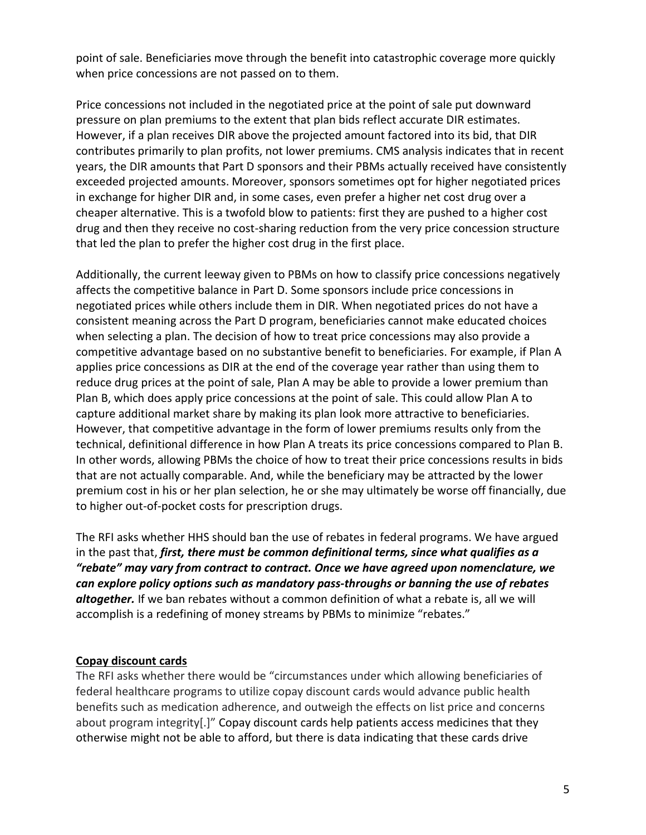point of sale. Beneficiaries move through the benefit into catastrophic coverage more quickly when price concessions are not passed on to them.

Price concessions not included in the negotiated price at the point of sale put downward pressure on plan premiums to the extent that plan bids reflect accurate DIR estimates. However, if a plan receives DIR above the projected amount factored into its bid, that DIR contributes primarily to plan profits, not lower premiums. CMS analysis indicates that in recent years, the DIR amounts that Part D sponsors and their PBMs actually received have consistently exceeded projected amounts. Moreover, sponsors sometimes opt for higher negotiated prices in exchange for higher DIR and, in some cases, even prefer a higher net cost drug over a cheaper alternative. This is a twofold blow to patients: first they are pushed to a higher cost drug and then they receive no cost-sharing reduction from the very price concession structure that led the plan to prefer the higher cost drug in the first place.

Additionally, the current leeway given to PBMs on how to classify price concessions negatively affects the competitive balance in Part D. Some sponsors include price concessions in negotiated prices while others include them in DIR. When negotiated prices do not have a consistent meaning across the Part D program, beneficiaries cannot make educated choices when selecting a plan. The decision of how to treat price concessions may also provide a competitive advantage based on no substantive benefit to beneficiaries. For example, if Plan A applies price concessions as DIR at the end of the coverage year rather than using them to reduce drug prices at the point of sale, Plan A may be able to provide a lower premium than Plan B, which does apply price concessions at the point of sale. This could allow Plan A to capture additional market share by making its plan look more attractive to beneficiaries. However, that competitive advantage in the form of lower premiums results only from the technical, definitional difference in how Plan A treats its price concessions compared to Plan B. In other words, allowing PBMs the choice of how to treat their price concessions results in bids that are not actually comparable. And, while the beneficiary may be attracted by the lower premium cost in his or her plan selection, he or she may ultimately be worse off financially, due to higher out-of-pocket costs for prescription drugs.

The RFI asks whether HHS should ban the use of rebates in federal programs. We have argued in the past that, *first, there must be common definitional terms, since what qualifies as a "rebate" may vary from contract to contract. Once we have agreed upon nomenclature, we can explore policy options such as mandatory pass-throughs or banning the use of rebates altogether.* If we ban rebates without a common definition of what a rebate is, all we will accomplish is a redefining of money streams by PBMs to minimize "rebates."

#### **Copay discount cards**

The RFI asks whether there would be "circumstances under which allowing beneficiaries of federal healthcare programs to utilize copay discount cards would advance public health benefits such as medication adherence, and outweigh the effects on list price and concerns about program integrity[.]" Copay discount cards help patients access medicines that they otherwise might not be able to afford, but there is data indicating that these cards drive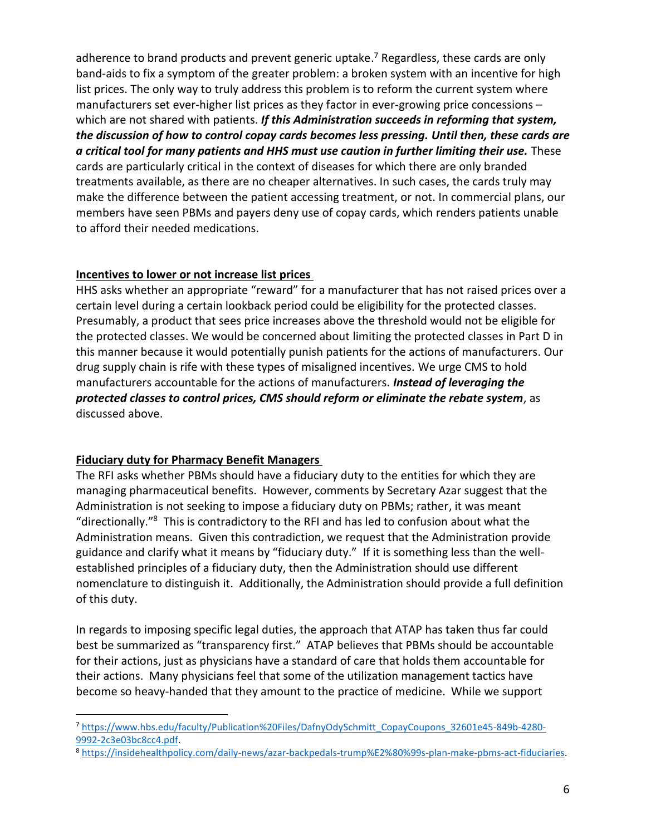adherence to brand products and prevent generic uptake.<sup>7</sup> Regardless, these cards are only band-aids to fix a symptom of the greater problem: a broken system with an incentive for high list prices. The only way to truly address this problem is to reform the current system where manufacturers set ever-higher list prices as they factor in ever-growing price concessions – which are not shared with patients. *If this Administration succeeds in reforming that system, the discussion of how to control copay cards becomes less pressing. Until then, these cards are a critical tool for many patients and HHS must use caution in further limiting their use.* These cards are particularly critical in the context of diseases for which there are only branded treatments available, as there are no cheaper alternatives. In such cases, the cards truly may make the difference between the patient accessing treatment, or not. In commercial plans, our members have seen PBMs and payers deny use of copay cards, which renders patients unable to afford their needed medications.

### **Incentives to lower or not increase list prices**

HHS asks whether an appropriate "reward" for a manufacturer that has not raised prices over a certain level during a certain lookback period could be eligibility for the protected classes. Presumably, a product that sees price increases above the threshold would not be eligible for the protected classes. We would be concerned about limiting the protected classes in Part D in this manner because it would potentially punish patients for the actions of manufacturers. Our drug supply chain is rife with these types of misaligned incentives. We urge CMS to hold manufacturers accountable for the actions of manufacturers. *Instead of leveraging the protected classes to control prices, CMS should reform or eliminate the rebate system*, as discussed above.

# **Fiduciary duty for Pharmacy Benefit Managers**

 $\overline{a}$ 

The RFI asks whether PBMs should have a fiduciary duty to the entities for which they are managing pharmaceutical benefits. However, comments by Secretary Azar suggest that the Administration is not seeking to impose a fiduciary duty on PBMs; rather, it was meant "directionally."<sup>8</sup> This is contradictory to the RFI and has led to confusion about what the Administration means. Given this contradiction, we request that the Administration provide guidance and clarify what it means by "fiduciary duty." If it is something less than the wellestablished principles of a fiduciary duty, then the Administration should use different nomenclature to distinguish it. Additionally, the Administration should provide a full definition of this duty.

In regards to imposing specific legal duties, the approach that ATAP has taken thus far could best be summarized as "transparency first." ATAP believes that PBMs should be accountable for their actions, just as physicians have a standard of care that holds them accountable for their actions. Many physicians feel that some of the utilization management tactics have become so heavy-handed that they amount to the practice of medicine. While we support

<sup>7</sup> [https://www.hbs.edu/faculty/Publication%20Files/DafnyOdySchmitt\\_CopayCoupons\\_32601e45-849b-4280-](https://www.hbs.edu/faculty/Publication%20Files/DafnyOdySchmitt_CopayCoupons_32601e45-849b-4280-9992-2c3e03bc8cc4.pdf) [9992-2c3e03bc8cc4.pdf.](https://www.hbs.edu/faculty/Publication%20Files/DafnyOdySchmitt_CopayCoupons_32601e45-849b-4280-9992-2c3e03bc8cc4.pdf)

<sup>8</sup> [https://insidehealthpolicy.com/daily-news/azar-backpedals-trump%E2%80%99s-plan-make-pbms-act-fiduciaries.](https://insidehealthpolicy.com/daily-news/azar-backpedals-trump%E2%80%99s-plan-make-pbms-act-fiduciaries)